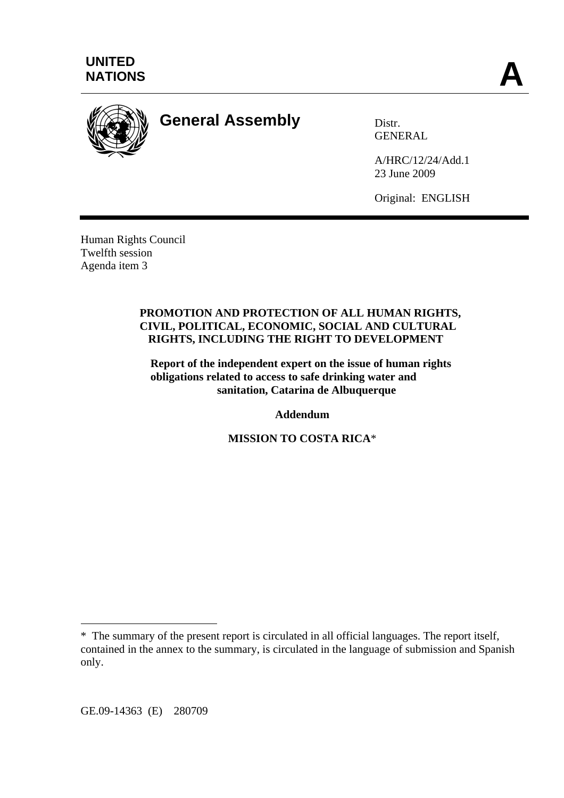

# **General Assembly** Distr.

GENERAL

A/HRC/12/24/Add.1 23 June 2009

Original: ENGLISH

Human Rights Council Twelfth session Agenda item 3

#### **PROMOTION AND PROTECTION OF ALL HUMAN RIGHTS, CIVIL, POLITICAL, ECONOMIC, SOCIAL AND CULTURAL RIGHTS, INCLUDING THE RIGHT TO DEVELOPMENT**

**Report of the independent expert on the issue of human rights obligations related to access to safe drinking water and sanitation, Catarina de Albuquerque** 

**Addendum** 

**MISSION TO COSTA RICA**\*

<sup>\*</sup> The summary of the present report is circulated in all official languages. The report itself, contained in the annex to the summary, is circulated in the language of submission and Spanish only.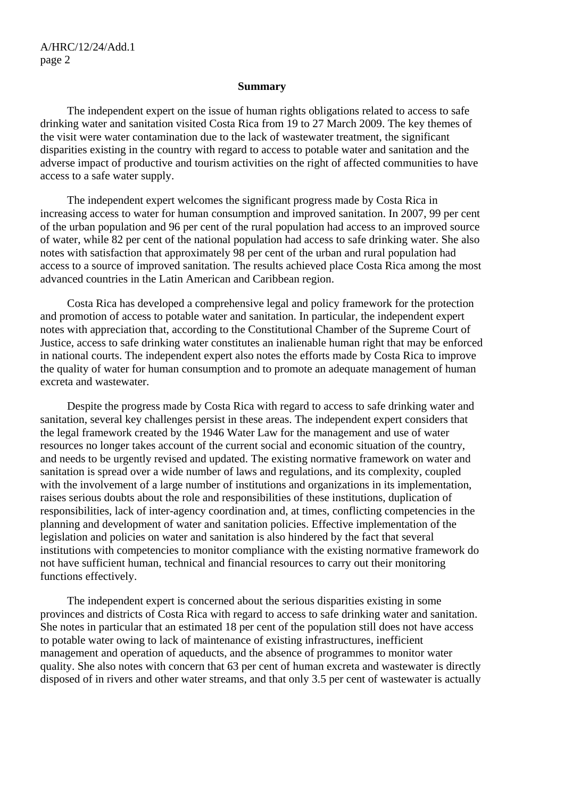#### **Summary**

 The independent expert on the issue of human rights obligations related to access to safe drinking water and sanitation visited Costa Rica from 19 to 27 March 2009. The key themes of the visit were water contamination due to the lack of wastewater treatment, the significant disparities existing in the country with regard to access to potable water and sanitation and the adverse impact of productive and tourism activities on the right of affected communities to have access to a safe water supply.

 The independent expert welcomes the significant progress made by Costa Rica in increasing access to water for human consumption and improved sanitation. In 2007, 99 per cent of the urban population and 96 per cent of the rural population had access to an improved source of water, while 82 per cent of the national population had access to safe drinking water. She also notes with satisfaction that approximately 98 per cent of the urban and rural population had access to a source of improved sanitation. The results achieved place Costa Rica among the most advanced countries in the Latin American and Caribbean region.

 Costa Rica has developed a comprehensive legal and policy framework for the protection and promotion of access to potable water and sanitation. In particular, the independent expert notes with appreciation that, according to the Constitutional Chamber of the Supreme Court of Justice, access to safe drinking water constitutes an inalienable human right that may be enforced in national courts. The independent expert also notes the efforts made by Costa Rica to improve the quality of water for human consumption and to promote an adequate management of human excreta and wastewater.

 Despite the progress made by Costa Rica with regard to access to safe drinking water and sanitation, several key challenges persist in these areas. The independent expert considers that the legal framework created by the 1946 Water Law for the management and use of water resources no longer takes account of the current social and economic situation of the country, and needs to be urgently revised and updated. The existing normative framework on water and sanitation is spread over a wide number of laws and regulations, and its complexity, coupled with the involvement of a large number of institutions and organizations in its implementation, raises serious doubts about the role and responsibilities of these institutions, duplication of responsibilities, lack of inter-agency coordination and, at times, conflicting competencies in the planning and development of water and sanitation policies. Effective implementation of the legislation and policies on water and sanitation is also hindered by the fact that several institutions with competencies to monitor compliance with the existing normative framework do not have sufficient human, technical and financial resources to carry out their monitoring functions effectively.

 The independent expert is concerned about the serious disparities existing in some provinces and districts of Costa Rica with regard to access to safe drinking water and sanitation. She notes in particular that an estimated 18 per cent of the population still does not have access to potable water owing to lack of maintenance of existing infrastructures, inefficient management and operation of aqueducts, and the absence of programmes to monitor water quality. She also notes with concern that 63 per cent of human excreta and wastewater is directly disposed of in rivers and other water streams, and that only 3.5 per cent of wastewater is actually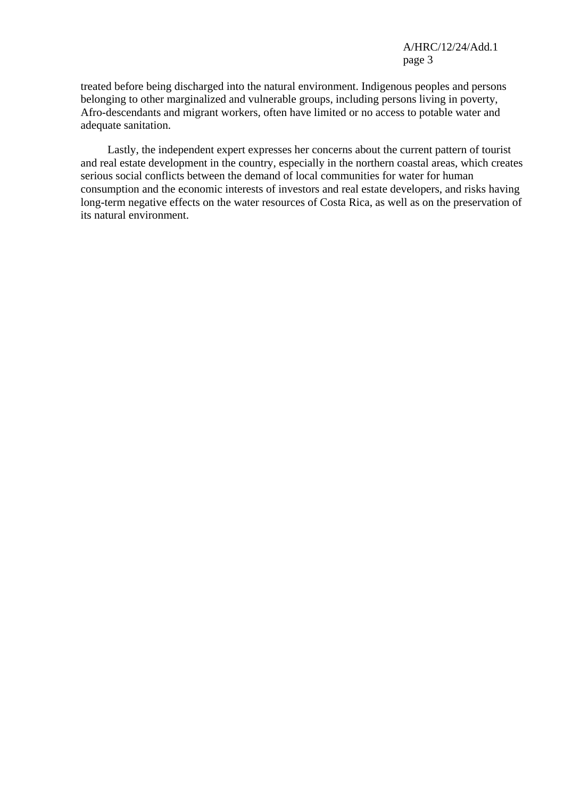treated before being discharged into the natural environment. Indigenous peoples and persons belonging to other marginalized and vulnerable groups, including persons living in poverty, Afro-descendants and migrant workers, often have limited or no access to potable water and adequate sanitation.

 Lastly, the independent expert expresses her concerns about the current pattern of tourist and real estate development in the country, especially in the northern coastal areas, which creates serious social conflicts between the demand of local communities for water for human consumption and the economic interests of investors and real estate developers, and risks having long-term negative effects on the water resources of Costa Rica, as well as on the preservation of its natural environment.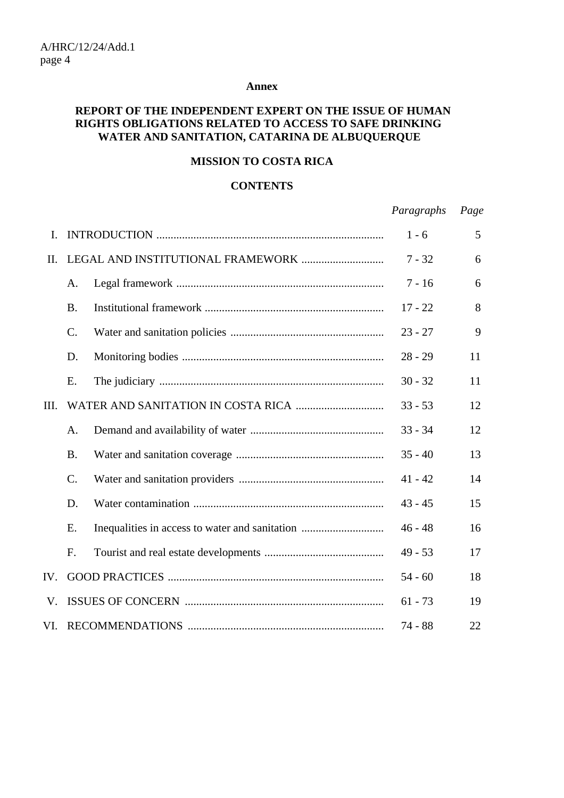#### **Annex**

## **REPORT OF THE INDEPENDENT EXPERT ON THE ISSUE OF HUMAN RIGHTS OBLIGATIONS RELATED TO ACCESS TO SAFE DRINKING WATER AND SANITATION, CATARINA DE ALBUQUERQUE**

## **MISSION TO COSTA RICA**

#### **CONTENTS**

*Paragraphs Page*

| Ι.   |                 |                                                | $1 - 6$   | 5  |
|------|-----------------|------------------------------------------------|-----------|----|
| II.  |                 |                                                | $7 - 32$  | 6  |
|      | A.              |                                                | $7 - 16$  | 6  |
|      | <b>B.</b>       |                                                | $17 - 22$ | 8  |
|      | $\mathcal{C}$ . |                                                | $23 - 27$ | 9  |
|      | D.              |                                                | $28 - 29$ | 11 |
|      | Ε.              |                                                | $30 - 32$ | 11 |
| III. |                 |                                                | $33 - 53$ | 12 |
|      | А.              |                                                | $33 - 34$ | 12 |
|      | <b>B.</b>       |                                                | $35 - 40$ | 13 |
|      | $C$ .           |                                                | $41 - 42$ | 14 |
|      | D.              |                                                | $43 - 45$ | 15 |
|      | Ε.              | Inequalities in access to water and sanitation | $46 - 48$ | 16 |
|      | F.              |                                                | $49 - 53$ | 17 |
| IV.  |                 |                                                | $54 - 60$ | 18 |
| V.   |                 |                                                | $61 - 73$ | 19 |
| VI.  |                 |                                                | $74 - 88$ | 22 |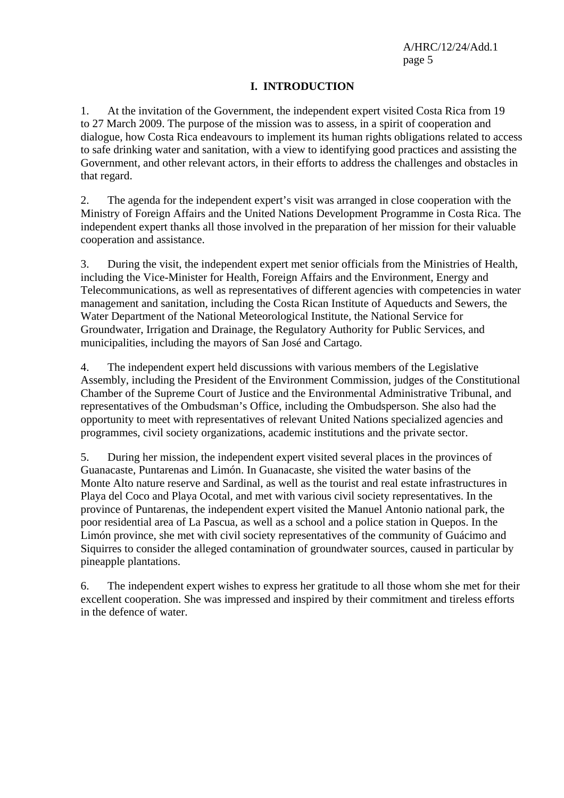## **I. INTRODUCTION**

1. At the invitation of the Government, the independent expert visited Costa Rica from 19 to 27 March 2009. The purpose of the mission was to assess, in a spirit of cooperation and dialogue, how Costa Rica endeavours to implement its human rights obligations related to access to safe drinking water and sanitation, with a view to identifying good practices and assisting the Government, and other relevant actors, in their efforts to address the challenges and obstacles in that regard.

2. The agenda for the independent expert's visit was arranged in close cooperation with the Ministry of Foreign Affairs and the United Nations Development Programme in Costa Rica. The independent expert thanks all those involved in the preparation of her mission for their valuable cooperation and assistance.

3. During the visit, the independent expert met senior officials from the Ministries of Health, including the Vice-Minister for Health, Foreign Affairs and the Environment, Energy and Telecommunications, as well as representatives of different agencies with competencies in water management and sanitation, including the Costa Rican Institute of Aqueducts and Sewers, the Water Department of the National Meteorological Institute, the National Service for Groundwater, Irrigation and Drainage, the Regulatory Authority for Public Services, and municipalities, including the mayors of San José and Cartago.

4. The independent expert held discussions with various members of the Legislative Assembly, including the President of the Environment Commission, judges of the Constitutional Chamber of the Supreme Court of Justice and the Environmental Administrative Tribunal, and representatives of the Ombudsman's Office, including the Ombudsperson. She also had the opportunity to meet with representatives of relevant United Nations specialized agencies and programmes, civil society organizations, academic institutions and the private sector.

5. During her mission, the independent expert visited several places in the provinces of Guanacaste, Puntarenas and Limón. In Guanacaste, she visited the water basins of the Monte Alto nature reserve and Sardinal, as well as the tourist and real estate infrastructures in Playa del Coco and Playa Ocotal, and met with various civil society representatives. In the province of Puntarenas, the independent expert visited the Manuel Antonio national park, the poor residential area of La Pascua, as well as a school and a police station in Quepos. In the Limón province, she met with civil society representatives of the community of Guácimo and Siquirres to consider the alleged contamination of groundwater sources, caused in particular by pineapple plantations.

6. The independent expert wishes to express her gratitude to all those whom she met for their excellent cooperation. She was impressed and inspired by their commitment and tireless efforts in the defence of water.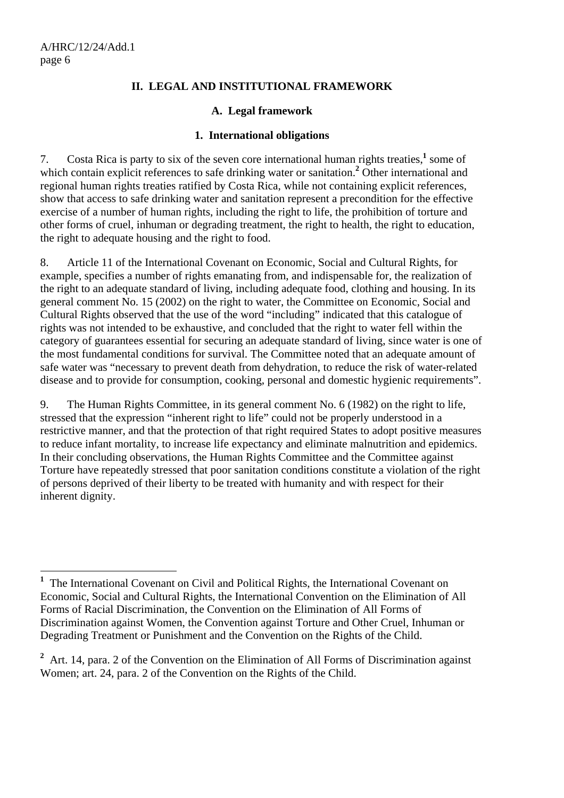## **II. LEGAL AND INSTITUTIONAL FRAMEWORK**

### **A. Legal framework**

#### **1. International obligations**

7. Costa Rica is party to six of the seven core international human rights treaties, $\frac{1}{2}$  some of which contain explicit references to safe drinking water or sanitation.<sup>2</sup> Other international and regional human rights treaties ratified by Costa Rica, while not containing explicit references, show that access to safe drinking water and sanitation represent a precondition for the effective exercise of a number of human rights, including the right to life, the prohibition of torture and other forms of cruel, inhuman or degrading treatment, the right to health, the right to education, the right to adequate housing and the right to food.

8. Article 11 of the International Covenant on Economic, Social and Cultural Rights, for example, specifies a number of rights emanating from, and indispensable for, the realization of the right to an adequate standard of living, including adequate food, clothing and housing. In its general comment No. 15 (2002) on the right to water, the Committee on Economic, Social and Cultural Rights observed that the use of the word "including" indicated that this catalogue of rights was not intended to be exhaustive, and concluded that the right to water fell within the category of guarantees essential for securing an adequate standard of living, since water is one of the most fundamental conditions for survival. The Committee noted that an adequate amount of safe water was "necessary to prevent death from dehydration, to reduce the risk of water-related disease and to provide for consumption, cooking, personal and domestic hygienic requirements".

9. The Human Rights Committee, in its general comment No. 6 (1982) on the right to life, stressed that the expression "inherent right to life" could not be properly understood in a restrictive manner, and that the protection of that right required States to adopt positive measures to reduce infant mortality, to increase life expectancy and eliminate malnutrition and epidemics. In their concluding observations, the Human Rights Committee and the Committee against Torture have repeatedly stressed that poor sanitation conditions constitute a violation of the right of persons deprived of their liberty to be treated with humanity and with respect for their inherent dignity.

<sup>2</sup> Art. 14, para. 2 of the Convention on the Elimination of All Forms of Discrimination against Women; art. 24, para. 2 of the Convention on the Rights of the Child.

<sup>&</sup>lt;sup>1</sup> The International Covenant on Civil and Political Rights, the International Covenant on Economic, Social and Cultural Rights, the International Convention on the Elimination of All Forms of Racial Discrimination, the Convention on the Elimination of All Forms of Discrimination against Women, the Convention against Torture and Other Cruel, Inhuman or Degrading Treatment or Punishment and the Convention on the Rights of the Child.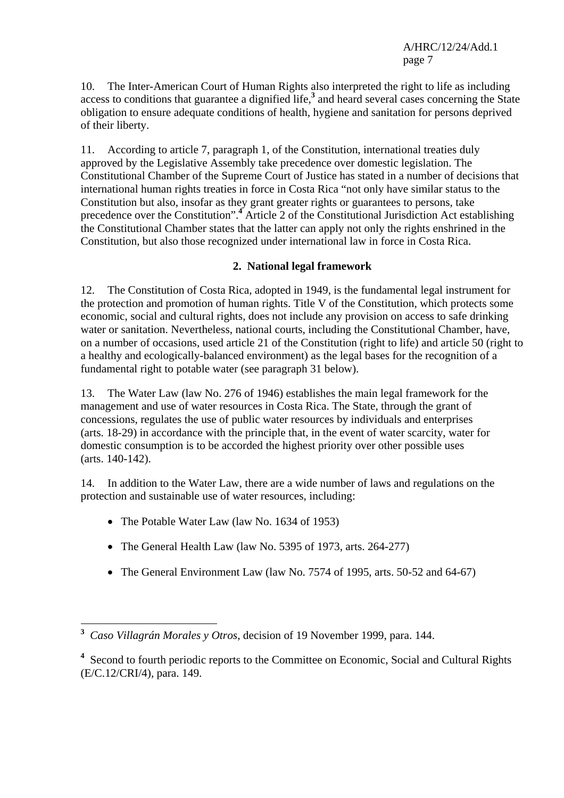10. The Inter-American Court of Human Rights also interpreted the right to life as including access to conditions that guarantee a dignified life,**<sup>3</sup>** and heard several cases concerning the State obligation to ensure adequate conditions of health, hygiene and sanitation for persons deprived of their liberty.

11. According to article 7, paragraph 1, of the Constitution, international treaties duly approved by the Legislative Assembly take precedence over domestic legislation. The Constitutional Chamber of the Supreme Court of Justice has stated in a number of decisions that international human rights treaties in force in Costa Rica "not only have similar status to the Constitution but also, insofar as they grant greater rights or guarantees to persons, take precedence over the Constitution".<sup>4</sup> Article 2 of the Constitutional Jurisdiction Act establishing the Constitutional Chamber states that the latter can apply not only the rights enshrined in the Constitution, but also those recognized under international law in force in Costa Rica.

## **2. National legal framework**

12. The Constitution of Costa Rica, adopted in 1949, is the fundamental legal instrument for the protection and promotion of human rights. Title V of the Constitution, which protects some economic, social and cultural rights, does not include any provision on access to safe drinking water or sanitation. Nevertheless, national courts, including the Constitutional Chamber, have, on a number of occasions, used article 21 of the Constitution (right to life) and article 50 (right to a healthy and ecologically-balanced environment) as the legal bases for the recognition of a fundamental right to potable water (see paragraph 31 below).

13. The Water Law (law No. 276 of 1946) establishes the main legal framework for the management and use of water resources in Costa Rica. The State, through the grant of concessions, regulates the use of public water resources by individuals and enterprises (arts. 18-29) in accordance with the principle that, in the event of water scarcity, water for domestic consumption is to be accorded the highest priority over other possible uses (arts. 140-142).

14. In addition to the Water Law, there are a wide number of laws and regulations on the protection and sustainable use of water resources, including:

• The Potable Water Law (law No. 1634 of 1953)

- The General Health Law (law No. 5395 of 1973, arts. 264-277)
- The General Environment Law (law No. 7574 of 1995, arts. 50-52 and 64-67)

**<sup>3</sup>** *Caso Villagrán Morales y Otros*, decision of 19 November 1999, para. 144.

<sup>&</sup>lt;sup>4</sup> Second to fourth periodic reports to the Committee on Economic, Social and Cultural Rights (E/C.12/CRI/4), para. 149.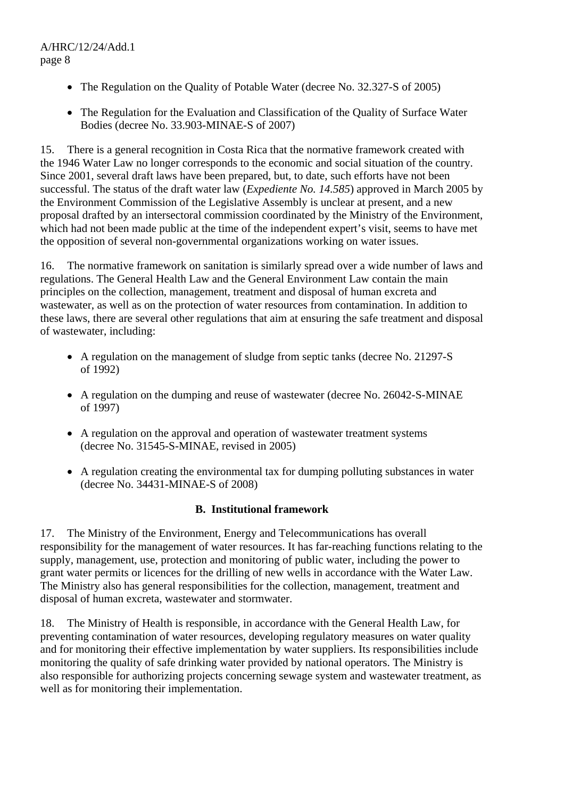- The Regulation on the Quality of Potable Water (decree No. 32.327-S of 2005)
- The Regulation for the Evaluation and Classification of the Quality of Surface Water Bodies (decree No. 33.903-MINAE-S of 2007)

15. There is a general recognition in Costa Rica that the normative framework created with the 1946 Water Law no longer corresponds to the economic and social situation of the country. Since 2001, several draft laws have been prepared, but, to date, such efforts have not been successful. The status of the draft water law (*Expediente No. 14.585*) approved in March 2005 by the Environment Commission of the Legislative Assembly is unclear at present, and a new proposal drafted by an intersectoral commission coordinated by the Ministry of the Environment, which had not been made public at the time of the independent expert's visit, seems to have met the opposition of several non-governmental organizations working on water issues.

16. The normative framework on sanitation is similarly spread over a wide number of laws and regulations. The General Health Law and the General Environment Law contain the main principles on the collection, management, treatment and disposal of human excreta and wastewater, as well as on the protection of water resources from contamination. In addition to these laws, there are several other regulations that aim at ensuring the safe treatment and disposal of wastewater, including:

- A regulation on the management of sludge from septic tanks (decree No. 21297-S) of 1992)
- A regulation on the dumping and reuse of wastewater (decree No. 26042-S-MINAE) of 1997)
- A regulation on the approval and operation of wastewater treatment systems (decree No. 31545-S-MINAE, revised in 2005)
- A regulation creating the environmental tax for dumping polluting substances in water (decree No. 34431-MINAE-S of 2008)

### **B. Institutional framework**

17. The Ministry of the Environment, Energy and Telecommunications has overall responsibility for the management of water resources. It has far-reaching functions relating to the supply, management, use, protection and monitoring of public water, including the power to grant water permits or licences for the drilling of new wells in accordance with the Water Law. The Ministry also has general responsibilities for the collection, management, treatment and disposal of human excreta, wastewater and stormwater.

18. The Ministry of Health is responsible, in accordance with the General Health Law, for preventing contamination of water resources, developing regulatory measures on water quality and for monitoring their effective implementation by water suppliers. Its responsibilities include monitoring the quality of safe drinking water provided by national operators. The Ministry is also responsible for authorizing projects concerning sewage system and wastewater treatment, as well as for monitoring their implementation.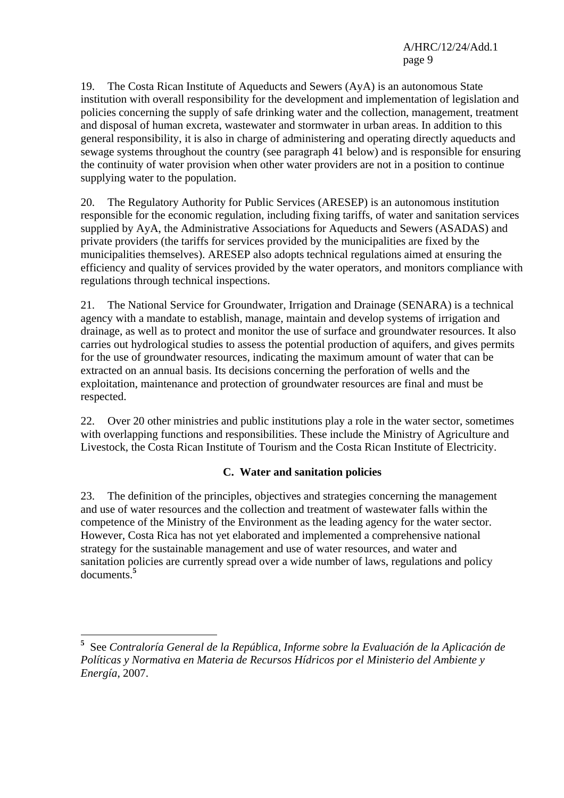19. The Costa Rican Institute of Aqueducts and Sewers (AyA) is an autonomous State institution with overall responsibility for the development and implementation of legislation and policies concerning the supply of safe drinking water and the collection, management, treatment and disposal of human excreta, wastewater and stormwater in urban areas. In addition to this general responsibility, it is also in charge of administering and operating directly aqueducts and sewage systems throughout the country (see paragraph 41 below) and is responsible for ensuring the continuity of water provision when other water providers are not in a position to continue supplying water to the population.

20. The Regulatory Authority for Public Services (ARESEP) is an autonomous institution responsible for the economic regulation, including fixing tariffs, of water and sanitation services supplied by AyA, the Administrative Associations for Aqueducts and Sewers (ASADAS) and private providers (the tariffs for services provided by the municipalities are fixed by the municipalities themselves). ARESEP also adopts technical regulations aimed at ensuring the efficiency and quality of services provided by the water operators, and monitors compliance with regulations through technical inspections.

21. The National Service for Groundwater, Irrigation and Drainage (SENARA) is a technical agency with a mandate to establish, manage, maintain and develop systems of irrigation and drainage, as well as to protect and monitor the use of surface and groundwater resources. It also carries out hydrological studies to assess the potential production of aquifers, and gives permits for the use of groundwater resources, indicating the maximum amount of water that can be extracted on an annual basis. Its decisions concerning the perforation of wells and the exploitation, maintenance and protection of groundwater resources are final and must be respected.

22. Over 20 other ministries and public institutions play a role in the water sector, sometimes with overlapping functions and responsibilities. These include the Ministry of Agriculture and Livestock, the Costa Rican Institute of Tourism and the Costa Rican Institute of Electricity.

### **C. Water and sanitation policies**

23. The definition of the principles, objectives and strategies concerning the management and use of water resources and the collection and treatment of wastewater falls within the competence of the Ministry of the Environment as the leading agency for the water sector. However, Costa Rica has not yet elaborated and implemented a comprehensive national strategy for the sustainable management and use of water resources, and water and sanitation policies are currently spread over a wide number of laws, regulations and policy documents.**<sup>5</sup>**

**<sup>5</sup>** See *Contraloría General de la República, Informe sobre la Evaluación de la Aplicación de Políticas y Normativa en Materia de Recursos Hídricos por el Ministerio del Ambiente y Energía*, 2007.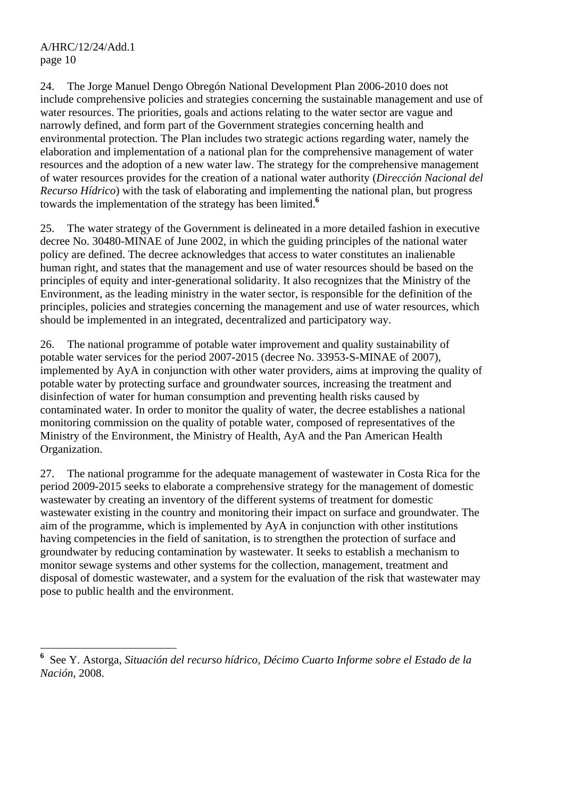$\overline{a}$ 

24. The Jorge Manuel Dengo Obregón National Development Plan 2006-2010 does not include comprehensive policies and strategies concerning the sustainable management and use of water resources. The priorities, goals and actions relating to the water sector are vague and narrowly defined, and form part of the Government strategies concerning health and environmental protection. The Plan includes two strategic actions regarding water, namely the elaboration and implementation of a national plan for the comprehensive management of water resources and the adoption of a new water law. The strategy for the comprehensive management of water resources provides for the creation of a national water authority (*Dirección Nacional del Recurso Hídrico*) with the task of elaborating and implementing the national plan, but progress towards the implementation of the strategy has been limited.**<sup>6</sup>**

25. The water strategy of the Government is delineated in a more detailed fashion in executive decree No. 30480-MINAE of June 2002, in which the guiding principles of the national water policy are defined. The decree acknowledges that access to water constitutes an inalienable human right, and states that the management and use of water resources should be based on the principles of equity and inter-generational solidarity. It also recognizes that the Ministry of the Environment, as the leading ministry in the water sector, is responsible for the definition of the principles, policies and strategies concerning the management and use of water resources, which should be implemented in an integrated, decentralized and participatory way.

26. The national programme of potable water improvement and quality sustainability of potable water services for the period 2007-2015 (decree No. 33953-S-MINAE of 2007), implemented by AyA in conjunction with other water providers, aims at improving the quality of potable water by protecting surface and groundwater sources, increasing the treatment and disinfection of water for human consumption and preventing health risks caused by contaminated water. In order to monitor the quality of water, the decree establishes a national monitoring commission on the quality of potable water, composed of representatives of the Ministry of the Environment, the Ministry of Health, AyA and the Pan American Health Organization.

27. The national programme for the adequate management of wastewater in Costa Rica for the period 2009-2015 seeks to elaborate a comprehensive strategy for the management of domestic wastewater by creating an inventory of the different systems of treatment for domestic wastewater existing in the country and monitoring their impact on surface and groundwater. The aim of the programme, which is implemented by AyA in conjunction with other institutions having competencies in the field of sanitation, is to strengthen the protection of surface and groundwater by reducing contamination by wastewater. It seeks to establish a mechanism to monitor sewage systems and other systems for the collection, management, treatment and disposal of domestic wastewater, and a system for the evaluation of the risk that wastewater may pose to public health and the environment.

**<sup>6</sup>** See Y. Astorga, *Situación del recurso hídrico, Décimo Cuarto Informe sobre el Estado de la Nación*, 2008.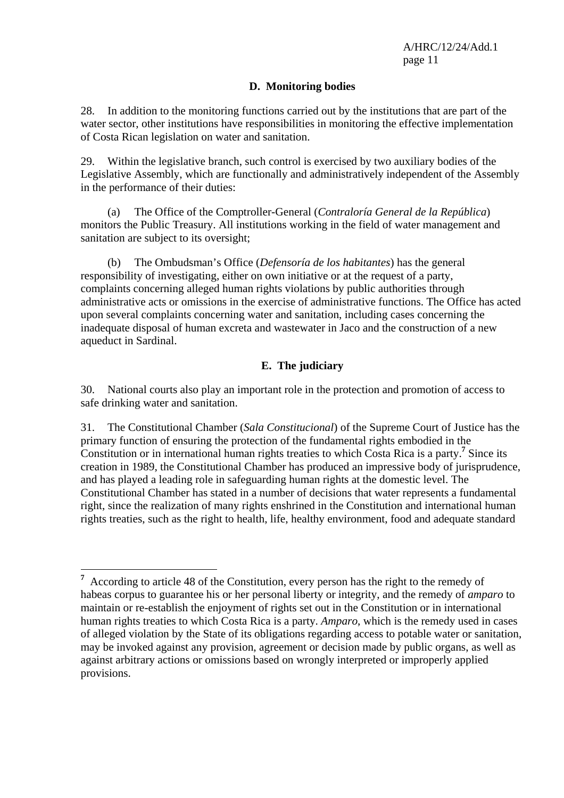#### **D. Monitoring bodies**

28. In addition to the monitoring functions carried out by the institutions that are part of the water sector, other institutions have responsibilities in monitoring the effective implementation of Costa Rican legislation on water and sanitation.

29. Within the legislative branch, such control is exercised by two auxiliary bodies of the Legislative Assembly, which are functionally and administratively independent of the Assembly in the performance of their duties:

 (a) The Office of the Comptroller-General (*Contraloría General de la República*) monitors the Public Treasury. All institutions working in the field of water management and sanitation are subject to its oversight;

 (b) The Ombudsman's Office (*Defensoría de los habitantes*) has the general responsibility of investigating, either on own initiative or at the request of a party, complaints concerning alleged human rights violations by public authorities through administrative acts or omissions in the exercise of administrative functions. The Office has acted upon several complaints concerning water and sanitation, including cases concerning the inadequate disposal of human excreta and wastewater in Jaco and the construction of a new aqueduct in Sardinal.

## **E. The judiciary**

30. National courts also play an important role in the protection and promotion of access to safe drinking water and sanitation.

31. The Constitutional Chamber (*Sala Constitucional*) of the Supreme Court of Justice has the primary function of ensuring the protection of the fundamental rights embodied in the Constitution or in international human rights treaties to which Costa Rica is a party.**<sup>7</sup>** Since its creation in 1989, the Constitutional Chamber has produced an impressive body of jurisprudence, and has played a leading role in safeguarding human rights at the domestic level. The Constitutional Chamber has stated in a number of decisions that water represents a fundamental right, since the realization of many rights enshrined in the Constitution and international human rights treaties, such as the right to health, life, healthy environment, food and adequate standard

**<sup>7</sup>** According to article 48 of the Constitution, every person has the right to the remedy of habeas corpus to guarantee his or her personal liberty or integrity, and the remedy of *amparo* to maintain or re-establish the enjoyment of rights set out in the Constitution or in international human rights treaties to which Costa Rica is a party. *Amparo*, which is the remedy used in cases of alleged violation by the State of its obligations regarding access to potable water or sanitation, may be invoked against any provision, agreement or decision made by public organs, as well as against arbitrary actions or omissions based on wrongly interpreted or improperly applied provisions.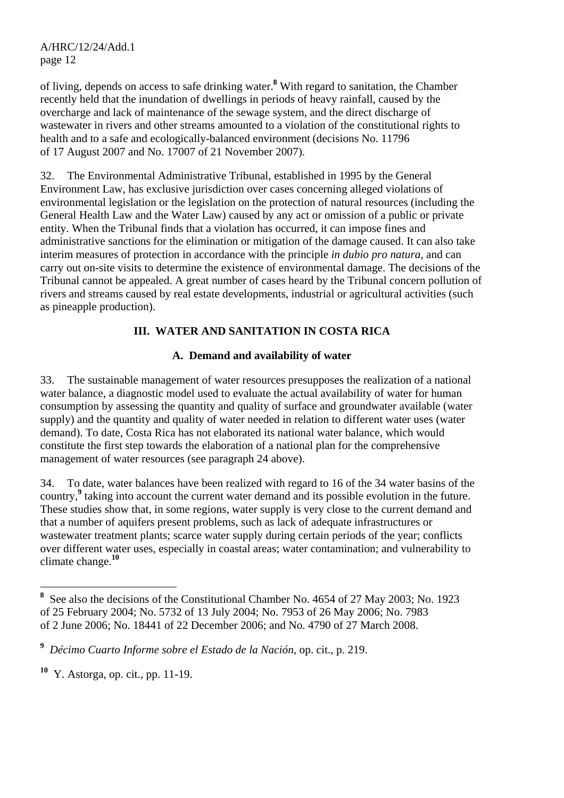of living, depends on access to safe drinking water.**<sup>8</sup>** With regard to sanitation, the Chamber recently held that the inundation of dwellings in periods of heavy rainfall, caused by the overcharge and lack of maintenance of the sewage system, and the direct discharge of wastewater in rivers and other streams amounted to a violation of the constitutional rights to health and to a safe and ecologically-balanced environment (decisions No. 11796 of 17 August 2007 and No. 17007 of 21 November 2007).

32. The Environmental Administrative Tribunal, established in 1995 by the General Environment Law, has exclusive jurisdiction over cases concerning alleged violations of environmental legislation or the legislation on the protection of natural resources (including the General Health Law and the Water Law) caused by any act or omission of a public or private entity. When the Tribunal finds that a violation has occurred, it can impose fines and administrative sanctions for the elimination or mitigation of the damage caused. It can also take interim measures of protection in accordance with the principle *in dubio pro natura*, and can carry out on-site visits to determine the existence of environmental damage. The decisions of the Tribunal cannot be appealed. A great number of cases heard by the Tribunal concern pollution of rivers and streams caused by real estate developments, industrial or agricultural activities (such as pineapple production).

## **III. WATER AND SANITATION IN COSTA RICA**

### **A. Demand and availability of water**

33. The sustainable management of water resources presupposes the realization of a national water balance, a diagnostic model used to evaluate the actual availability of water for human consumption by assessing the quantity and quality of surface and groundwater available (water supply) and the quantity and quality of water needed in relation to different water uses (water demand). To date, Costa Rica has not elaborated its national water balance, which would constitute the first step towards the elaboration of a national plan for the comprehensive management of water resources (see paragraph 24 above).

34. To date, water balances have been realized with regard to 16 of the 34 water basins of the country,**<sup>9</sup>** taking into account the current water demand and its possible evolution in the future. These studies show that, in some regions, water supply is very close to the current demand and that a number of aquifers present problems, such as lack of adequate infrastructures or wastewater treatment plants; scarce water supply during certain periods of the year; conflicts over different water uses, especially in coastal areas; water contamination; and vulnerability to climate change.**<sup>10</sup>**

<sup>&</sup>lt;sup>8</sup> See also the decisions of the Constitutional Chamber No. 4654 of 27 May 2003; No. 1923 of 25 February 2004; No. 5732 of 13 July 2004; No. 7953 of 26 May 2006; No. 7983 of 2 June 2006; No. 18441 of 22 December 2006; and No. 4790 of 27 March 2008.

**<sup>9</sup>** *Décimo Cuarto Informe sobre el Estado de la Nación*, op. cit., p. 219.

**<sup>10</sup>** Y. Astorga, op. cit., pp. 11-19.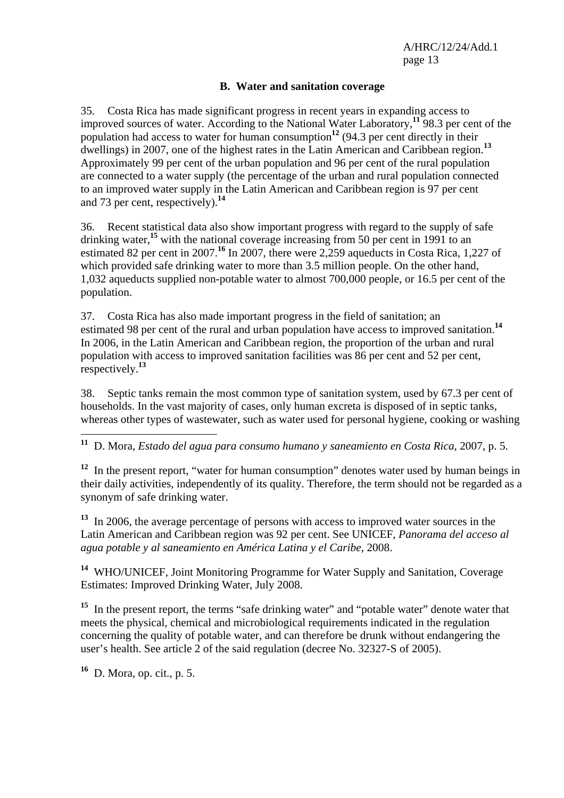#### **B. Water and sanitation coverage**

35. Costa Rica has made significant progress in recent years in expanding access to improved sources of water. According to the National Water Laboratory,**<sup>11</sup>** 98.3 per cent of the population had access to water for human consumption<sup>12</sup> (94.3 per cent directly in their dwellings) in 2007, one of the highest rates in the Latin American and Caribbean region.**<sup>13</sup>** Approximately 99 per cent of the urban population and 96 per cent of the rural population are connected to a water supply (the percentage of the urban and rural population connected to an improved water supply in the Latin American and Caribbean region is 97 per cent and 73 per cent, respectively).**<sup>14</sup>**

36. Recent statistical data also show important progress with regard to the supply of safe drinking water,<sup>15</sup> with the national coverage increasing from 50 per cent in 1991 to an estimated 82 per cent in 2007.**<sup>16</sup>** In 2007, there were 2,259 aqueducts in Costa Rica, 1,227 of which provided safe drinking water to more than 3.5 million people. On the other hand, 1,032 aqueducts supplied non-potable water to almost 700,000 people, or 16.5 per cent of the population.

37. Costa Rica has also made important progress in the field of sanitation; an estimated 98 per cent of the rural and urban population have access to improved sanitation.**<sup>14</sup>** In 2006, in the Latin American and Caribbean region, the proportion of the urban and rural population with access to improved sanitation facilities was 86 per cent and 52 per cent, respectively.**<sup>13</sup>**

38. Septic tanks remain the most common type of sanitation system, used by 67.3 per cent of households. In the vast majority of cases, only human excreta is disposed of in septic tanks, whereas other types of wastewater, such as water used for personal hygiene, cooking or washing

 $\overline{a}$ **<sup>11</sup>** D. Mora, *Estado del agua para consumo humano y saneamiento en Costa Rica*, 2007, p. 5.

<sup>12</sup> In the present report, "water for human consumption" denotes water used by human beings in their daily activities, independently of its quality. Therefore, the term should not be regarded as a synonym of safe drinking water.

**<sup>13</sup>** In 2006, the average percentage of persons with access to improved water sources in the Latin American and Caribbean region was 92 per cent. See UNICEF, *Panorama del acceso al agua potable y al saneamiento en América Latina y el Caribe*, 2008.

**<sup>14</sup>** WHO/UNICEF, Joint Monitoring Programme for Water Supply and Sanitation, Coverage Estimates: Improved Drinking Water, July 2008.

**<sup>15</sup>** In the present report, the terms "safe drinking water" and "potable water" denote water that meets the physical, chemical and microbiological requirements indicated in the regulation concerning the quality of potable water, and can therefore be drunk without endangering the user's health. See article 2 of the said regulation (decree No. 32327-S of 2005).

**<sup>16</sup>** D. Mora, op. cit., p. 5.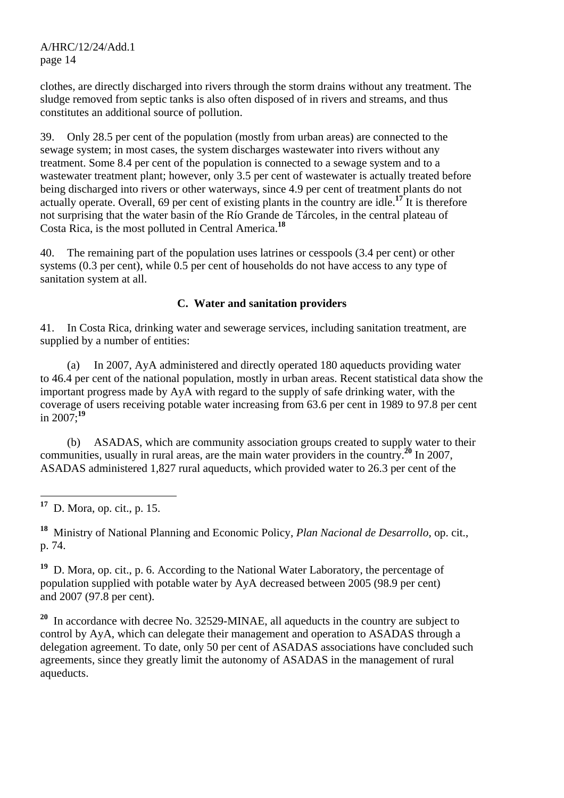clothes, are directly discharged into rivers through the storm drains without any treatment. The sludge removed from septic tanks is also often disposed of in rivers and streams, and thus constitutes an additional source of pollution.

39. Only 28.5 per cent of the population (mostly from urban areas) are connected to the sewage system; in most cases, the system discharges wastewater into rivers without any treatment. Some 8.4 per cent of the population is connected to a sewage system and to a wastewater treatment plant; however, only 3.5 per cent of wastewater is actually treated before being discharged into rivers or other waterways, since 4.9 per cent of treatment plants do not actually operate. Overall, 69 per cent of existing plants in the country are idle.**<sup>17</sup>** It is therefore not surprising that the water basin of the Río Grande de Tárcoles, in the central plateau of Costa Rica, is the most polluted in Central America.**<sup>18</sup>**

40. The remaining part of the population uses latrines or cesspools (3.4 per cent) or other systems (0.3 per cent), while 0.5 per cent of households do not have access to any type of sanitation system at all.

#### **C. Water and sanitation providers**

41. In Costa Rica, drinking water and sewerage services, including sanitation treatment, are supplied by a number of entities:

 (a) In 2007, AyA administered and directly operated 180 aqueducts providing water to 46.4 per cent of the national population, mostly in urban areas. Recent statistical data show the important progress made by AyA with regard to the supply of safe drinking water, with the coverage of users receiving potable water increasing from 63.6 per cent in 1989 to 97.8 per cent in 2007;**<sup>19</sup>**

 (b) ASADAS, which are community association groups created to supply water to their communities, usually in rural areas, are the main water providers in the country.**<sup>20</sup>** In 2007, ASADAS administered 1,827 rural aqueducts, which provided water to 26.3 per cent of the

**<sup>18</sup>** Ministry of National Planning and Economic Policy, *Plan Nacional de Desarrollo*, op. cit., p. 74.

**<sup>19</sup>** D. Mora, op. cit., p. 6. According to the National Water Laboratory, the percentage of population supplied with potable water by AyA decreased between 2005 (98.9 per cent) and 2007 (97.8 per cent).

**<sup>20</sup>** In accordance with decree No. 32529-MINAE, all aqueducts in the country are subject to control by AyA, which can delegate their management and operation to ASADAS through a delegation agreement. To date, only 50 per cent of ASADAS associations have concluded such agreements, since they greatly limit the autonomy of ASADAS in the management of rural aqueducts.

<sup>17</sup> **<sup>17</sup>** D. Mora, op. cit., p. 15.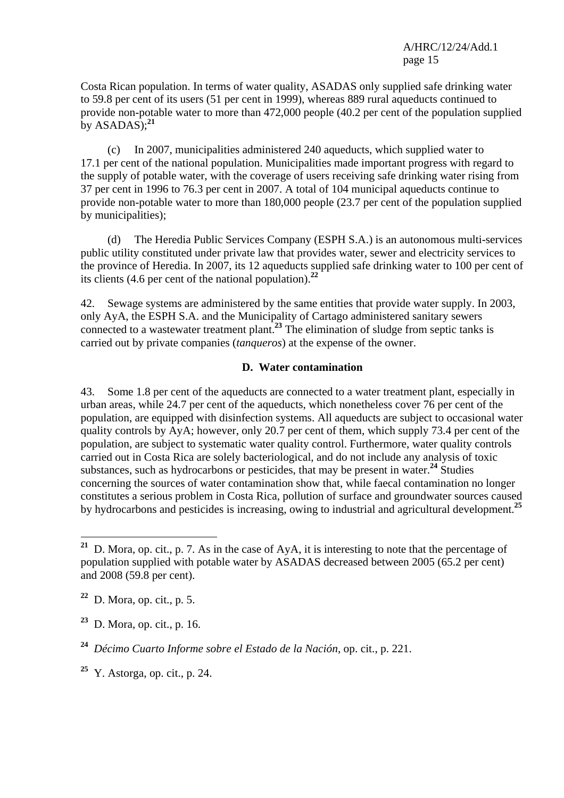Costa Rican population. In terms of water quality, ASADAS only supplied safe drinking water to 59.8 per cent of its users (51 per cent in 1999), whereas 889 rural aqueducts continued to provide non-potable water to more than 472,000 people (40.2 per cent of the population supplied by  $ASADAS$ <sup>21</sup>

 (c) In 2007, municipalities administered 240 aqueducts, which supplied water to 17.1 per cent of the national population. Municipalities made important progress with regard to the supply of potable water, with the coverage of users receiving safe drinking water rising from 37 per cent in 1996 to 76.3 per cent in 2007. A total of 104 municipal aqueducts continue to provide non-potable water to more than 180,000 people (23.7 per cent of the population supplied by municipalities);

 (d) The Heredia Public Services Company (ESPH S.A.) is an autonomous multi-services public utility constituted under private law that provides water, sewer and electricity services to the province of Heredia. In 2007, its 12 aqueducts supplied safe drinking water to 100 per cent of its clients (4.6 per cent of the national population).**<sup>22</sup>**

42. Sewage systems are administered by the same entities that provide water supply. In 2003, only AyA, the ESPH S.A. and the Municipality of Cartago administered sanitary sewers connected to a wastewater treatment plant.**<sup>23</sup>** The elimination of sludge from septic tanks is carried out by private companies (*tanqueros*) at the expense of the owner.

#### **D. Water contamination**

43. Some 1.8 per cent of the aqueducts are connected to a water treatment plant, especially in urban areas, while 24.7 per cent of the aqueducts, which nonetheless cover 76 per cent of the population, are equipped with disinfection systems. All aqueducts are subject to occasional water quality controls by AyA; however, only 20.7 per cent of them, which supply 73.4 per cent of the population, are subject to systematic water quality control. Furthermore, water quality controls carried out in Costa Rica are solely bacteriological, and do not include any analysis of toxic substances, such as hydrocarbons or pesticides, that may be present in water.**<sup>24</sup>** Studies concerning the sources of water contamination show that, while faecal contamination no longer constitutes a serious problem in Costa Rica, pollution of surface and groundwater sources caused by hydrocarbons and pesticides is increasing, owing to industrial and agricultural development.**<sup>25</sup>**

**<sup>21</sup>** D. Mora, op. cit., p. 7. As in the case of AyA, it is interesting to note that the percentage of population supplied with potable water by ASADAS decreased between 2005 (65.2 per cent) and 2008 (59.8 per cent).

**<sup>22</sup>** D. Mora, op. cit., p. 5.

**<sup>23</sup>** D. Mora, op. cit., p. 16.

**<sup>24</sup>** *Décimo Cuarto Informe sobre el Estado de la Nación*, op. cit., p. 221.

**<sup>25</sup>** Y. Astorga, op. cit., p. 24.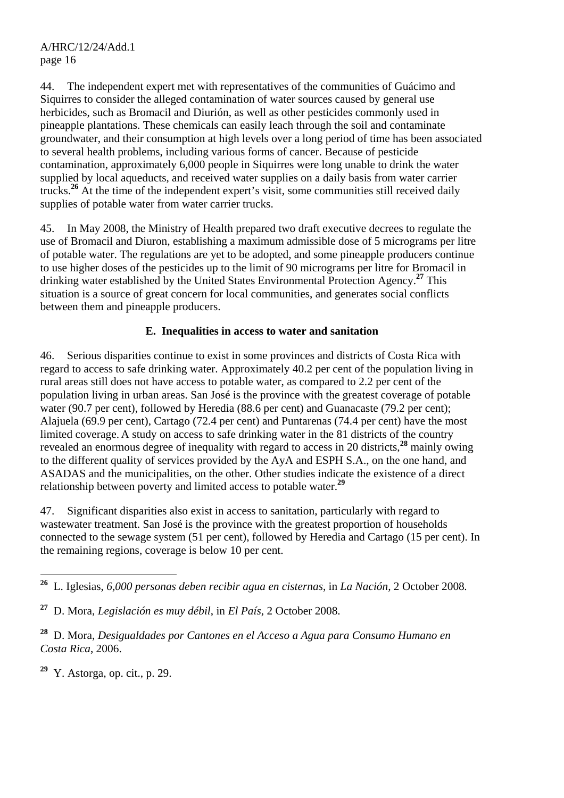44. The independent expert met with representatives of the communities of Guácimo and Siquirres to consider the alleged contamination of water sources caused by general use herbicides, such as Bromacil and Diurión, as well as other pesticides commonly used in pineapple plantations. These chemicals can easily leach through the soil and contaminate groundwater, and their consumption at high levels over a long period of time has been associated to several health problems, including various forms of cancer. Because of pesticide contamination, approximately 6,000 people in Siquirres were long unable to drink the water supplied by local aqueducts, and received water supplies on a daily basis from water carrier trucks.**<sup>26</sup>** At the time of the independent expert's visit, some communities still received daily supplies of potable water from water carrier trucks.

45. In May 2008, the Ministry of Health prepared two draft executive decrees to regulate the use of Bromacil and Diuron, establishing a maximum admissible dose of 5 micrograms per litre of potable water. The regulations are yet to be adopted, and some pineapple producers continue to use higher doses of the pesticides up to the limit of 90 micrograms per litre for Bromacil in drinking water established by the United States Environmental Protection Agency.**<sup>27</sup>** This situation is a source of great concern for local communities, and generates social conflicts between them and pineapple producers.

## **E. Inequalities in access to water and sanitation**

46. Serious disparities continue to exist in some provinces and districts of Costa Rica with regard to access to safe drinking water. Approximately 40.2 per cent of the population living in rural areas still does not have access to potable water, as compared to 2.2 per cent of the population living in urban areas. San José is the province with the greatest coverage of potable water (90.7 per cent), followed by Heredia (88.6 per cent) and Guanacaste (79.2 per cent); Alajuela (69.9 per cent), Cartago (72.4 per cent) and Puntarenas (74.4 per cent) have the most limited coverage. A study on access to safe drinking water in the 81 districts of the country revealed an enormous degree of inequality with regard to access in 20 districts,**<sup>28</sup>** mainly owing to the different quality of services provided by the AyA and ESPH S.A., on the one hand, and ASADAS and the municipalities, on the other. Other studies indicate the existence of a direct relationship between poverty and limited access to potable water.**<sup>29</sup>**

47. Significant disparities also exist in access to sanitation, particularly with regard to wastewater treatment. San José is the province with the greatest proportion of households connected to the sewage system (51 per cent), followed by Heredia and Cartago (15 per cent). In the remaining regions, coverage is below 10 per cent.

**<sup>29</sup>** Y. Astorga, op. cit., p. 29.

**<sup>26</sup>** L. Iglesias, *6,000 personas deben recibir agua en cisternas*, in *La Nación,* 2 October 2008*.* 

**<sup>27</sup>** D. Mora, *Legislación es muy débil*, in *El País*, 2 October 2008.

**<sup>28</sup>** D. Mora, *Desigualdades por Cantones en el Acceso a Agua para Consumo Humano en Costa Rica*, 2006.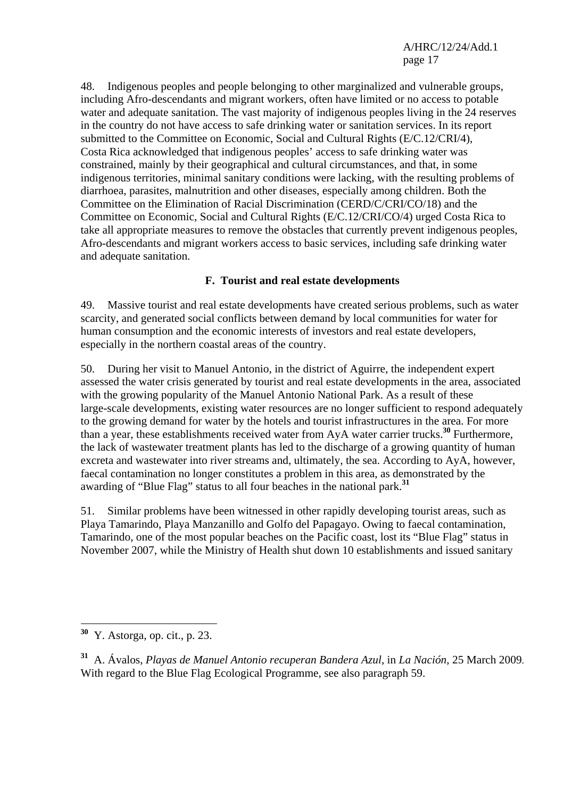48. Indigenous peoples and people belonging to other marginalized and vulnerable groups, including Afro-descendants and migrant workers, often have limited or no access to potable water and adequate sanitation. The vast majority of indigenous peoples living in the 24 reserves in the country do not have access to safe drinking water or sanitation services. In its report submitted to the Committee on Economic, Social and Cultural Rights (E/C.12/CRI/4), Costa Rica acknowledged that indigenous peoples' access to safe drinking water was constrained, mainly by their geographical and cultural circumstances, and that, in some indigenous territories, minimal sanitary conditions were lacking, with the resulting problems of diarrhoea, parasites, malnutrition and other diseases, especially among children. Both the Committee on the Elimination of Racial Discrimination (CERD/C/CRI/CO/18) and the Committee on Economic, Social and Cultural Rights (E/C.12/CRI/CO/4) urged Costa Rica to take all appropriate measures to remove the obstacles that currently prevent indigenous peoples, Afro-descendants and migrant workers access to basic services, including safe drinking water and adequate sanitation.

## **F. Tourist and real estate developments**

49. Massive tourist and real estate developments have created serious problems, such as water scarcity, and generated social conflicts between demand by local communities for water for human consumption and the economic interests of investors and real estate developers, especially in the northern coastal areas of the country.

50. During her visit to Manuel Antonio, in the district of Aguirre, the independent expert assessed the water crisis generated by tourist and real estate developments in the area, associated with the growing popularity of the Manuel Antonio National Park. As a result of these large-scale developments, existing water resources are no longer sufficient to respond adequately to the growing demand for water by the hotels and tourist infrastructures in the area. For more than a year, these establishments received water from AyA water carrier trucks.**<sup>30</sup>** Furthermore, the lack of wastewater treatment plants has led to the discharge of a growing quantity of human excreta and wastewater into river streams and, ultimately, the sea. According to AyA, however, faecal contamination no longer constitutes a problem in this area, as demonstrated by the awarding of "Blue Flag" status to all four beaches in the national park.**<sup>31</sup>**

51. Similar problems have been witnessed in other rapidly developing tourist areas, such as Playa Tamarindo, Playa Manzanillo and Golfo del Papagayo. Owing to faecal contamination, Tamarindo, one of the most popular beaches on the Pacific coast, lost its "Blue Flag" status in November 2007, while the Ministry of Health shut down 10 establishments and issued sanitary

**<sup>30</sup>** Y. Astorga, op. cit., p. 23.

**<sup>31</sup>** A. Ávalos, *Playas de Manuel Antonio recuperan Bandera Azul*, in *La Nación*, 25 March 2009. With regard to the Blue Flag Ecological Programme, see also paragraph 59.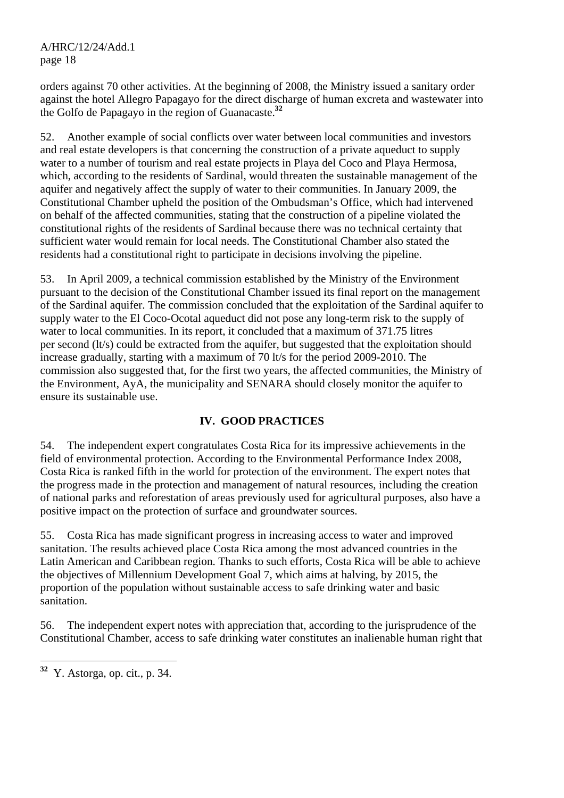orders against 70 other activities. At the beginning of 2008, the Ministry issued a sanitary order against the hotel Allegro Papagayo for the direct discharge of human excreta and wastewater into the Golfo de Papagayo in the region of Guanacaste.**<sup>32</sup>**

52. Another example of social conflicts over water between local communities and investors and real estate developers is that concerning the construction of a private aqueduct to supply water to a number of tourism and real estate projects in Playa del Coco and Playa Hermosa, which, according to the residents of Sardinal, would threaten the sustainable management of the aquifer and negatively affect the supply of water to their communities. In January 2009, the Constitutional Chamber upheld the position of the Ombudsman's Office, which had intervened on behalf of the affected communities, stating that the construction of a pipeline violated the constitutional rights of the residents of Sardinal because there was no technical certainty that sufficient water would remain for local needs. The Constitutional Chamber also stated the residents had a constitutional right to participate in decisions involving the pipeline.

53. In April 2009, a technical commission established by the Ministry of the Environment pursuant to the decision of the Constitutional Chamber issued its final report on the management of the Sardinal aquifer. The commission concluded that the exploitation of the Sardinal aquifer to supply water to the El Coco-Ocotal aqueduct did not pose any long-term risk to the supply of water to local communities. In its report, it concluded that a maximum of 371.75 litres per second (lt/s) could be extracted from the aquifer, but suggested that the exploitation should increase gradually, starting with a maximum of 70 lt/s for the period 2009-2010. The commission also suggested that, for the first two years, the affected communities, the Ministry of the Environment, AyA, the municipality and SENARA should closely monitor the aquifer to ensure its sustainable use.

## **IV. GOOD PRACTICES**

54. The independent expert congratulates Costa Rica for its impressive achievements in the field of environmental protection. According to the Environmental Performance Index 2008, Costa Rica is ranked fifth in the world for protection of the environment. The expert notes that the progress made in the protection and management of natural resources, including the creation of national parks and reforestation of areas previously used for agricultural purposes, also have a positive impact on the protection of surface and groundwater sources.

55. Costa Rica has made significant progress in increasing access to water and improved sanitation. The results achieved place Costa Rica among the most advanced countries in the Latin American and Caribbean region. Thanks to such efforts, Costa Rica will be able to achieve the objectives of Millennium Development Goal 7, which aims at halving, by 2015, the proportion of the population without sustainable access to safe drinking water and basic sanitation.

56. The independent expert notes with appreciation that, according to the jurisprudence of the Constitutional Chamber, access to safe drinking water constitutes an inalienable human right that

 $32\,$ **<sup>32</sup>** Y. Astorga, op. cit., p. 34.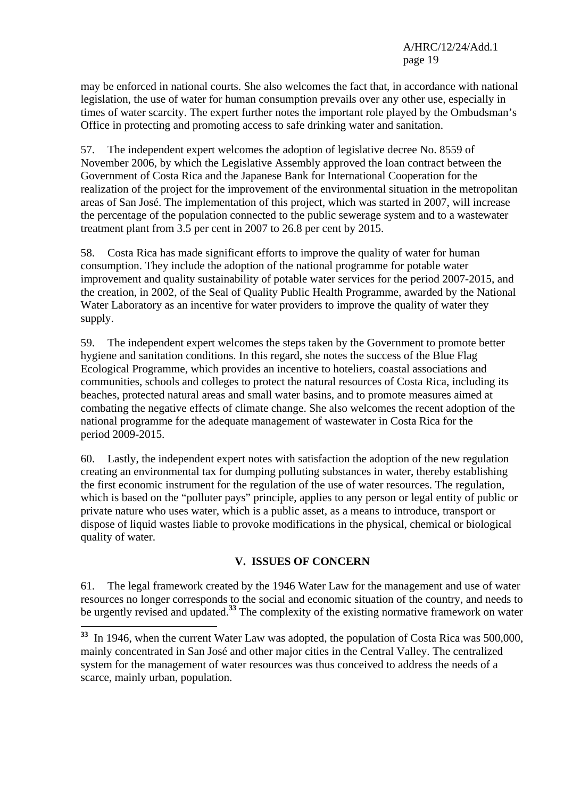may be enforced in national courts. She also welcomes the fact that, in accordance with national legislation, the use of water for human consumption prevails over any other use, especially in times of water scarcity. The expert further notes the important role played by the Ombudsman's Office in protecting and promoting access to safe drinking water and sanitation.

57. The independent expert welcomes the adoption of legislative decree No. 8559 of November 2006, by which the Legislative Assembly approved the loan contract between the Government of Costa Rica and the Japanese Bank for International Cooperation for the realization of the project for the improvement of the environmental situation in the metropolitan areas of San José. The implementation of this project, which was started in 2007, will increase the percentage of the population connected to the public sewerage system and to a wastewater treatment plant from 3.5 per cent in 2007 to 26.8 per cent by 2015.

58. Costa Rica has made significant efforts to improve the quality of water for human consumption. They include the adoption of the national programme for potable water improvement and quality sustainability of potable water services for the period 2007-2015, and the creation, in 2002, of the Seal of Quality Public Health Programme, awarded by the National Water Laboratory as an incentive for water providers to improve the quality of water they supply.

59. The independent expert welcomes the steps taken by the Government to promote better hygiene and sanitation conditions. In this regard, she notes the success of the Blue Flag Ecological Programme, which provides an incentive to hoteliers, coastal associations and communities, schools and colleges to protect the natural resources of Costa Rica, including its beaches, protected natural areas and small water basins, and to promote measures aimed at combating the negative effects of climate change. She also welcomes the recent adoption of the national programme for the adequate management of wastewater in Costa Rica for the period 2009-2015.

60. Lastly, the independent expert notes with satisfaction the adoption of the new regulation creating an environmental tax for dumping polluting substances in water, thereby establishing the first economic instrument for the regulation of the use of water resources. The regulation, which is based on the "polluter pays" principle, applies to any person or legal entity of public or private nature who uses water, which is a public asset, as a means to introduce, transport or dispose of liquid wastes liable to provoke modifications in the physical, chemical or biological quality of water.

### **V. ISSUES OF CONCERN**

61. The legal framework created by the 1946 Water Law for the management and use of water resources no longer corresponds to the social and economic situation of the country, and needs to be urgently revised and updated.<sup>33</sup> The complexity of the existing normative framework on water

**<sup>33</sup>** In 1946, when the current Water Law was adopted, the population of Costa Rica was 500,000, mainly concentrated in San José and other major cities in the Central Valley. The centralized system for the management of water resources was thus conceived to address the needs of a scarce, mainly urban, population.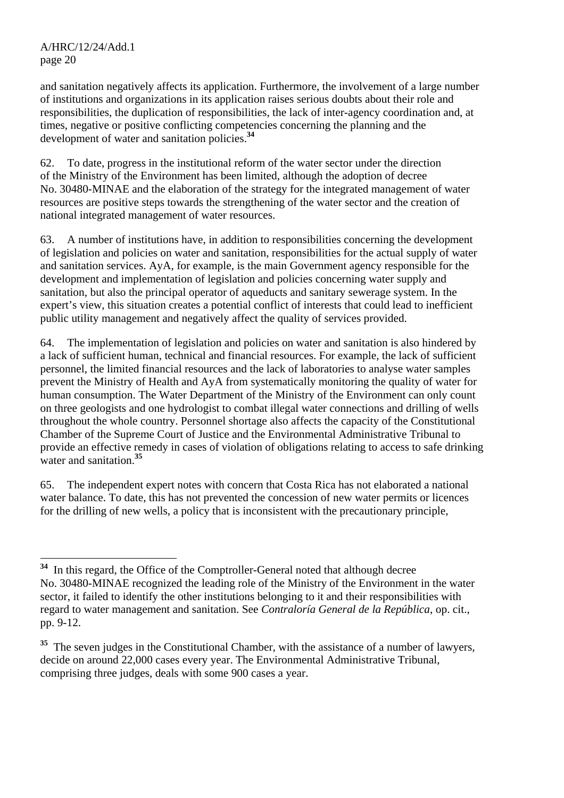and sanitation negatively affects its application. Furthermore, the involvement of a large number of institutions and organizations in its application raises serious doubts about their role and responsibilities, the duplication of responsibilities, the lack of inter-agency coordination and, at times, negative or positive conflicting competencies concerning the planning and the development of water and sanitation policies.**<sup>34</sup>**

62. To date, progress in the institutional reform of the water sector under the direction of the Ministry of the Environment has been limited, although the adoption of decree No. 30480-MINAE and the elaboration of the strategy for the integrated management of water resources are positive steps towards the strengthening of the water sector and the creation of national integrated management of water resources.

63. A number of institutions have, in addition to responsibilities concerning the development of legislation and policies on water and sanitation, responsibilities for the actual supply of water and sanitation services. AyA, for example, is the main Government agency responsible for the development and implementation of legislation and policies concerning water supply and sanitation, but also the principal operator of aqueducts and sanitary sewerage system. In the expert's view, this situation creates a potential conflict of interests that could lead to inefficient public utility management and negatively affect the quality of services provided.

64. The implementation of legislation and policies on water and sanitation is also hindered by a lack of sufficient human, technical and financial resources. For example, the lack of sufficient personnel, the limited financial resources and the lack of laboratories to analyse water samples prevent the Ministry of Health and AyA from systematically monitoring the quality of water for human consumption. The Water Department of the Ministry of the Environment can only count on three geologists and one hydrologist to combat illegal water connections and drilling of wells throughout the whole country. Personnel shortage also affects the capacity of the Constitutional Chamber of the Supreme Court of Justice and the Environmental Administrative Tribunal to provide an effective remedy in cases of violation of obligations relating to access to safe drinking water and sanitation.**<sup>35</sup>**

65. The independent expert notes with concern that Costa Rica has not elaborated a national water balance. To date, this has not prevented the concession of new water permits or licences for the drilling of new wells, a policy that is inconsistent with the precautionary principle,

 $\overline{a}$ **<sup>34</sup>** In this regard, the Office of the Comptroller-General noted that although decree No. 30480-MINAE recognized the leading role of the Ministry of the Environment in the water sector, it failed to identify the other institutions belonging to it and their responsibilities with regard to water management and sanitation. See *Contraloría General de la República*, op. cit., pp. 9-12.

<sup>&</sup>lt;sup>35</sup> The seven judges in the Constitutional Chamber, with the assistance of a number of lawyers, decide on around 22,000 cases every year. The Environmental Administrative Tribunal, comprising three judges, deals with some 900 cases a year.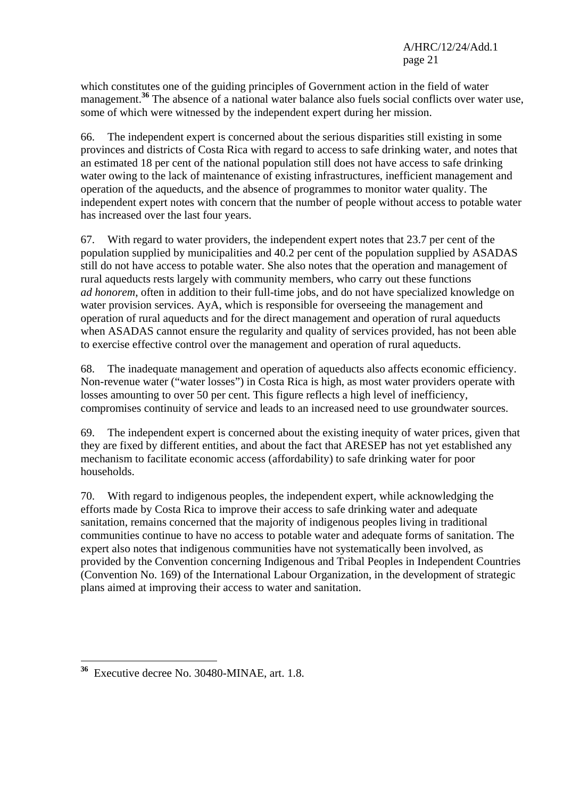which constitutes one of the guiding principles of Government action in the field of water management.<sup>36</sup> The absence of a national water balance also fuels social conflicts over water use, some of which were witnessed by the independent expert during her mission.

66. The independent expert is concerned about the serious disparities still existing in some provinces and districts of Costa Rica with regard to access to safe drinking water, and notes that an estimated 18 per cent of the national population still does not have access to safe drinking water owing to the lack of maintenance of existing infrastructures, inefficient management and operation of the aqueducts, and the absence of programmes to monitor water quality. The independent expert notes with concern that the number of people without access to potable water has increased over the last four years.

67. With regard to water providers, the independent expert notes that 23.7 per cent of the population supplied by municipalities and 40.2 per cent of the population supplied by ASADAS still do not have access to potable water. She also notes that the operation and management of rural aqueducts rests largely with community members, who carry out these functions *ad honorem*, often in addition to their full-time jobs, and do not have specialized knowledge on water provision services. AyA, which is responsible for overseeing the management and operation of rural aqueducts and for the direct management and operation of rural aqueducts when ASADAS cannot ensure the regularity and quality of services provided, has not been able to exercise effective control over the management and operation of rural aqueducts.

68. The inadequate management and operation of aqueducts also affects economic efficiency. Non-revenue water ("water losses") in Costa Rica is high, as most water providers operate with losses amounting to over 50 per cent. This figure reflects a high level of inefficiency, compromises continuity of service and leads to an increased need to use groundwater sources.

69. The independent expert is concerned about the existing inequity of water prices, given that they are fixed by different entities, and about the fact that ARESEP has not yet established any mechanism to facilitate economic access (affordability) to safe drinking water for poor households.

70. With regard to indigenous peoples, the independent expert, while acknowledging the efforts made by Costa Rica to improve their access to safe drinking water and adequate sanitation, remains concerned that the majority of indigenous peoples living in traditional communities continue to have no access to potable water and adequate forms of sanitation. The expert also notes that indigenous communities have not systematically been involved, as provided by the Convention concerning Indigenous and Tribal Peoples in Independent Countries (Convention No. 169) of the International Labour Organization, in the development of strategic plans aimed at improving their access to water and sanitation.

**<sup>36</sup>** Executive decree No. 30480-MINAE, art. 1.8.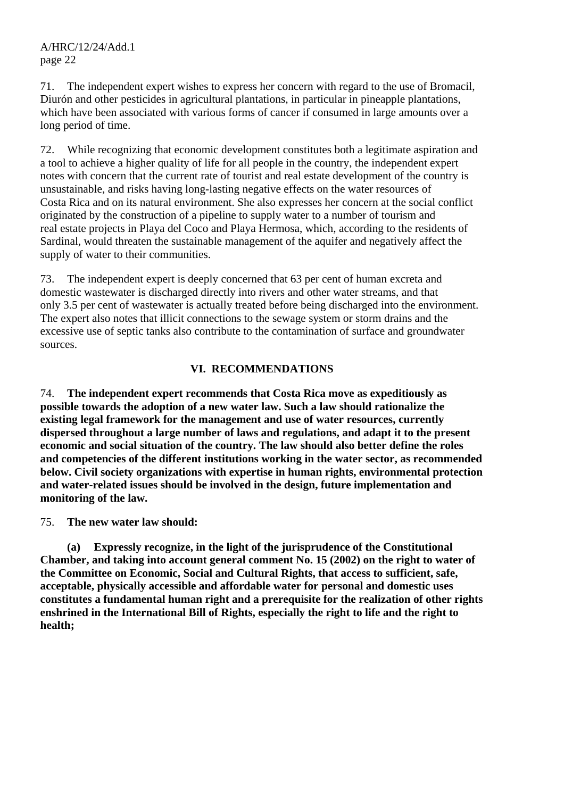71. The independent expert wishes to express her concern with regard to the use of Bromacil, Diurón and other pesticides in agricultural plantations, in particular in pineapple plantations, which have been associated with various forms of cancer if consumed in large amounts over a long period of time.

72. While recognizing that economic development constitutes both a legitimate aspiration and a tool to achieve a higher quality of life for all people in the country, the independent expert notes with concern that the current rate of tourist and real estate development of the country is unsustainable, and risks having long-lasting negative effects on the water resources of Costa Rica and on its natural environment. She also expresses her concern at the social conflict originated by the construction of a pipeline to supply water to a number of tourism and real estate projects in Playa del Coco and Playa Hermosa, which, according to the residents of Sardinal, would threaten the sustainable management of the aquifer and negatively affect the supply of water to their communities.

73. The independent expert is deeply concerned that 63 per cent of human excreta and domestic wastewater is discharged directly into rivers and other water streams, and that only 3.5 per cent of wastewater is actually treated before being discharged into the environment. The expert also notes that illicit connections to the sewage system or storm drains and the excessive use of septic tanks also contribute to the contamination of surface and groundwater sources.

### **VI. RECOMMENDATIONS**

74. **The independent expert recommends that Costa Rica move as expeditiously as possible towards the adoption of a new water law. Such a law should rationalize the existing legal framework for the management and use of water resources, currently dispersed throughout a large number of laws and regulations, and adapt it to the present economic and social situation of the country. The law should also better define the roles and competencies of the different institutions working in the water sector, as recommended below. Civil society organizations with expertise in human rights, environmental protection and water-related issues should be involved in the design, future implementation and monitoring of the law.**

75. **The new water law should:**

 **(a) Expressly recognize, in the light of the jurisprudence of the Constitutional Chamber, and taking into account general comment No. 15 (2002) on the right to water of the Committee on Economic, Social and Cultural Rights, that access to sufficient, safe, acceptable, physically accessible and affordable water for personal and domestic uses constitutes a fundamental human right and a prerequisite for the realization of other rights enshrined in the International Bill of Rights, especially the right to life and the right to health;**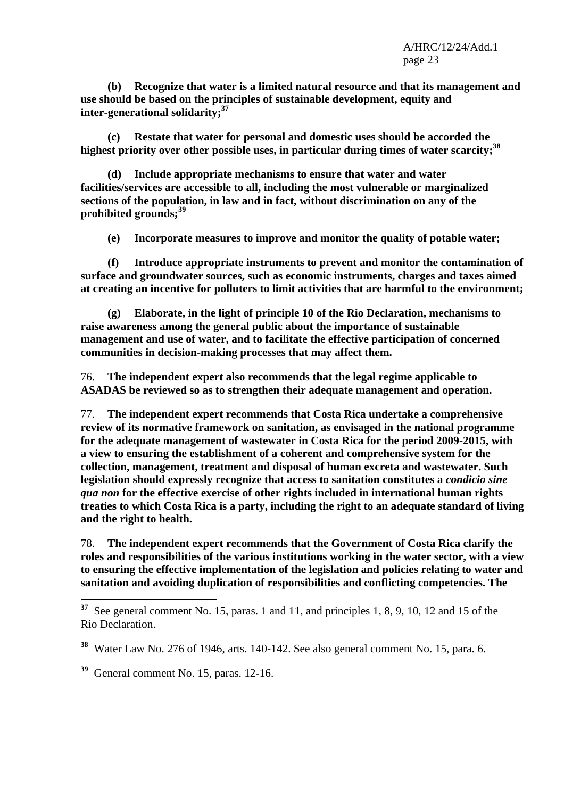**(b) Recognize that water is a limited natural resource and that its management and use should be based on the principles of sustainable development, equity and inter-generational solidarity;37**

 **(c) Restate that water for personal and domestic uses should be accorded the**  highest priority over other possible uses, in particular during times of water scarcity;<sup>38</sup>

 **(d) Include appropriate mechanisms to ensure that water and water facilities/services are accessible to all, including the most vulnerable or marginalized sections of the population, in law and in fact, without discrimination on any of the prohibited grounds;<sup>39</sup>**

 **(e) Incorporate measures to improve and monitor the quality of potable water;** 

 **(f) Introduce appropriate instruments to prevent and monitor the contamination of surface and groundwater sources, such as economic instruments, charges and taxes aimed at creating an incentive for polluters to limit activities that are harmful to the environment;** 

 **(g) Elaborate, in the light of principle 10 of the Rio Declaration, mechanisms to raise awareness among the general public about the importance of sustainable management and use of water, and to facilitate the effective participation of concerned communities in decision-making processes that may affect them.** 

76. **The independent expert also recommends that the legal regime applicable to ASADAS be reviewed so as to strengthen their adequate management and operation.** 

77. **The independent expert recommends that Costa Rica undertake a comprehensive review of its normative framework on sanitation, as envisaged in the national programme for the adequate management of wastewater in Costa Rica for the period 2009-2015, with a view to ensuring the establishment of a coherent and comprehensive system for the collection, management, treatment and disposal of human excreta and wastewater. Such legislation should expressly recognize that access to sanitation constitutes a** *condicio sine qua non* **for the effective exercise of other rights included in international human rights treaties to which Costa Rica is a party, including the right to an adequate standard of living and the right to health.** 

78. **The independent expert recommends that the Government of Costa Rica clarify the roles and responsibilities of the various institutions working in the water sector, with a view to ensuring the effective implementation of the legislation and policies relating to water and sanitation and avoiding duplication of responsibilities and conflicting competencies. The** 

**<sup>37</sup>** See general comment No. 15, paras. 1 and 11, and principles 1, 8, 9, 10, 12 and 15 of the Rio Declaration.

**<sup>38</sup>** Water Law No. 276 of 1946, arts. 140-142. See also general comment No. 15, para. 6.

**<sup>39</sup>** General comment No. 15, paras. 12-16.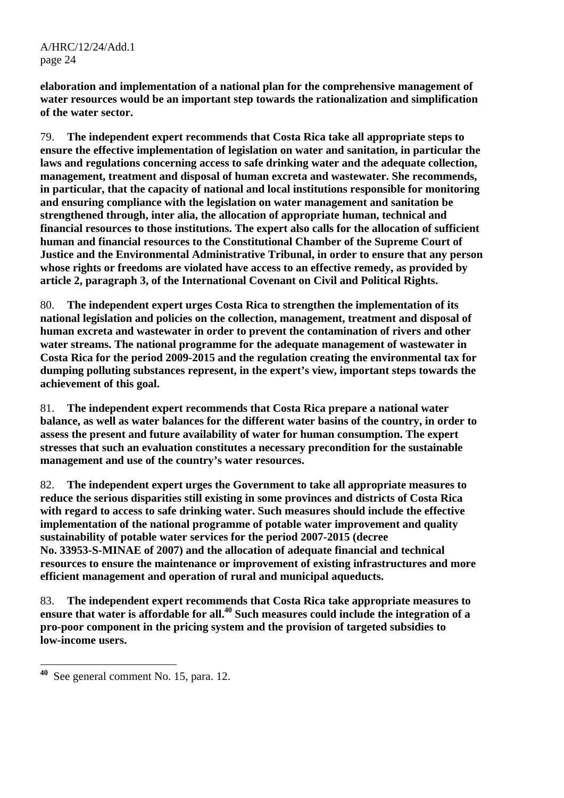**elaboration and implementation of a national plan for the comprehensive management of water resources would be an important step towards the rationalization and simplification of the water sector.** 

79. **The independent expert recommends that Costa Rica take all appropriate steps to ensure the effective implementation of legislation on water and sanitation, in particular the laws and regulations concerning access to safe drinking water and the adequate collection, management, treatment and disposal of human excreta and wastewater. She recommends, in particular, that the capacity of national and local institutions responsible for monitoring and ensuring compliance with the legislation on water management and sanitation be strengthened through, inter alia, the allocation of appropriate human, technical and financial resources to those institutions. The expert also calls for the allocation of sufficient human and financial resources to the Constitutional Chamber of the Supreme Court of Justice and the Environmental Administrative Tribunal, in order to ensure that any person whose rights or freedoms are violated have access to an effective remedy, as provided by article 2, paragraph 3, of the International Covenant on Civil and Political Rights.**

80. **The independent expert urges Costa Rica to strengthen the implementation of its national legislation and policies on the collection, management, treatment and disposal of human excreta and wastewater in order to prevent the contamination of rivers and other water streams. The national programme for the adequate management of wastewater in Costa Rica for the period 2009-2015 and the regulation creating the environmental tax for dumping polluting substances represent, in the expert's view, important steps towards the achievement of this goal.**

81. **The independent expert recommends that Costa Rica prepare a national water balance, as well as water balances for the different water basins of the country, in order to assess the present and future availability of water for human consumption. The expert stresses that such an evaluation constitutes a necessary precondition for the sustainable management and use of the country's water resources.** 

82. **The independent expert urges the Government to take all appropriate measures to reduce the serious disparities still existing in some provinces and districts of Costa Rica with regard to access to safe drinking water. Such measures should include the effective implementation of the national programme of potable water improvement and quality sustainability of potable water services for the period 2007-2015 (decree No. 33953-S-MINAE of 2007) and the allocation of adequate financial and technical resources to ensure the maintenance or improvement of existing infrastructures and more efficient management and operation of rural and municipal aqueducts.** 

83. **The independent expert recommends that Costa Rica take appropriate measures to**  ensure that water is affordable for all.<sup>40</sup> Such measures could include the integration of a **pro-poor component in the pricing system and the provision of targeted subsidies to low-income users.** 

**<sup>40</sup>** See general comment No. 15, para. 12.